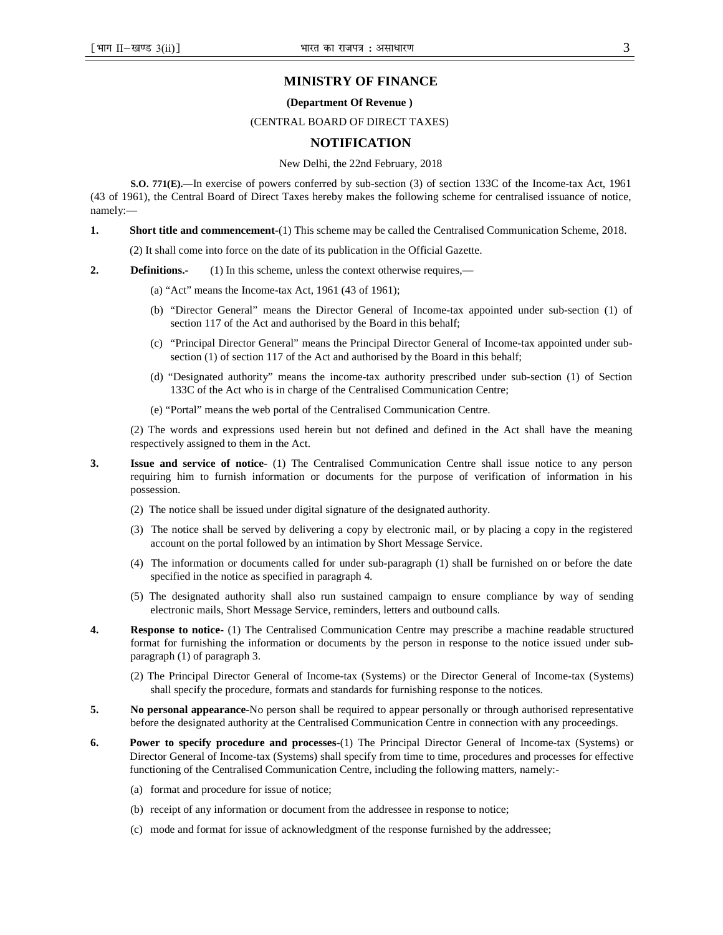## **MINISTRY OF FINANCE**

#### **(Department Of Revenue )**

## (CENTRAL BOARD OF DIRECT TAXES)

# **NOTIFICATION**

#### New Delhi, the 22nd February, 2018

**S.O. 771(E).—**In exercise of powers conferred by sub-section (3) of section 133C of the Income-tax Act, 1961 (43 of 1961), the Central Board of Direct Taxes hereby makes the following scheme for centralised issuance of notice, namely:—

**1. Short title and commencement-**(1) This scheme may be called the Centralised Communication Scheme, 2018.

(2) It shall come into force on the date of its publication in the Official Gazette.

- **2. Definitions.** (1) In this scheme, unless the context otherwise requires,—
	- (a) "Act" means the Income-tax Act, 1961 (43 of 1961);
	- (b) "Director General" means the Director General of Income-tax appointed under sub-section (1) of section 117 of the Act and authorised by the Board in this behalf;
	- (c) "Principal Director General" means the Principal Director General of Income-tax appointed under subsection (1) of section 117 of the Act and authorised by the Board in this behalf;
	- (d) "Designated authority" means the income-tax authority prescribed under sub-section (1) of Section 133C of the Act who is in charge of the Centralised Communication Centre;
	- (e) "Portal" means the web portal of the Centralised Communication Centre.

(2) The words and expressions used herein but not defined and defined in the Act shall have the meaning respectively assigned to them in the Act.

- **3. Issue and service of notice-** (1) The Centralised Communication Centre shall issue notice to any person requiring him to furnish information or documents for the purpose of verification of information in his possession.
	- (2) The notice shall be issued under digital signature of the designated authority.
	- (3) The notice shall be served by delivering a copy by electronic mail, or by placing a copy in the registered account on the portal followed by an intimation by Short Message Service.
	- (4) The information or documents called for under sub-paragraph (1) shall be furnished on or before the date specified in the notice as specified in paragraph 4.
	- (5) The designated authority shall also run sustained campaign to ensure compliance by way of sending electronic mails, Short Message Service, reminders, letters and outbound calls.
- **4.** Response to notice- (1) The Centralised Communication Centre may prescribe a machine readable structured format for furnishing the information or documents by the person in response to the notice issued under subparagraph (1) of paragraph 3.
	- (2) The Principal Director General of Income-tax (Systems) or the Director General of Income-tax (Systems) shall specify the procedure, formats and standards for furnishing response to the notices.
- **5. No personal appearance-**No person shall be required to appear personally or through authorised representative before the designated authority at the Centralised Communication Centre in connection with any proceedings.
- **6. Power to specify procedure and processes-**(1) The Principal Director General of Income-tax (Systems) or Director General of Income-tax (Systems) shall specify from time to time, procedures and processes for effective functioning of the Centralised Communication Centre, including the following matters, namely:-
	- (a) format and procedure for issue of notice;
	- (b) receipt of any information or document from the addressee in response to notice;
	- (c) mode and format for issue of acknowledgment of the response furnished by the addressee;